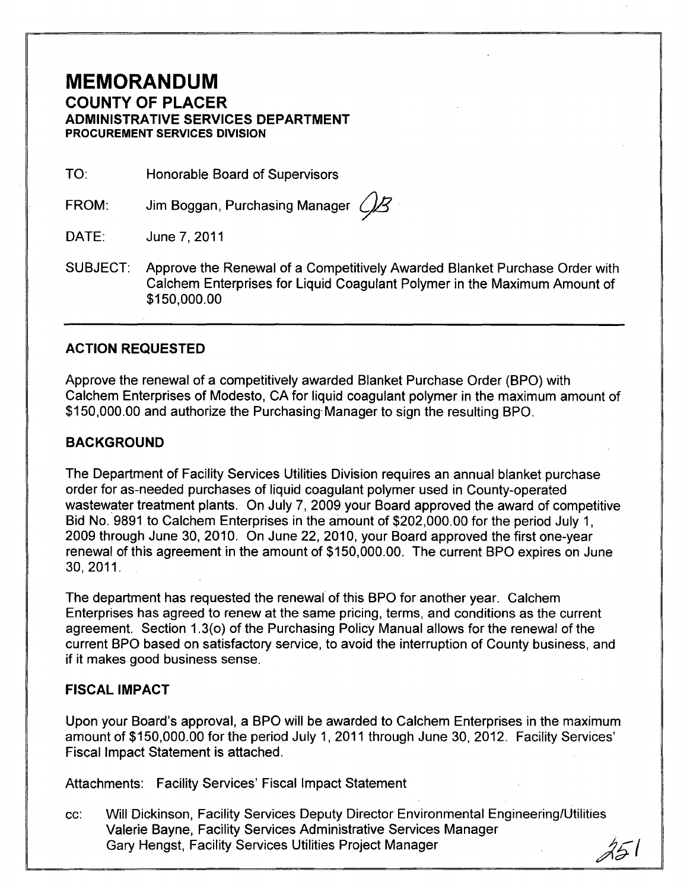## **MEMORANDUM COUNTY OF PLACER ADMINISTRATIVE SERVICES DEPARTMENT PROCUREMENT SERVICES DIVISION**

TO: Honorable Board of Supervisors

FROM: Jim Boggan, Purchasing Manager  $\mathcal{B}$ 

DATE: June 7, 2011

SUBJECT: Approve the Renewal of a Competitively Awarded Blanket Purchase Order with Calchem Enterprises for Liquid Coagulant Polymer in the Maximum Amount of \$150,000.00

### **ACTION REQUESTED**

Approve the renewal of a competitively awarded Blanket Purchase Order (BPO) with Calchem Enterprises of Modesto, CA for liquid coagulant polymer in the maximum amount of \$150,000.00 and authorize the Purchasing- Manager to sign the resulting BPO.

### **BACKGROUND**

The Department of Facility Services Utilities Division requires an annual blanket purchase order for as-needed purchases of liquid coagulant polymer used in County-operated wastewater treatment plants. On July 7, 2009 your Board approved the award of competitive Bid No. 9891 to Calchem Enterprises in the amount of \$202,000.00 for the period July 1, 2009 through June 30, 2010. On June 22,2010, your Board approved the first one-year renewal of this agreement in the amount of \$150,000.00. The current BPO expires on June 30,2011.

The department has requested the renewal' of this BPO for another year. Calchem Enterprises has agreed to renew at the same pricing, terms, and conditions as the current agreement. Section 1.3(0) of the Purchasing Policy Manual allows for the renewal of the current BPO based on satisfactory service, to avoid the interruption of County business, and if it makes good business sense.

### **FISCAL IMPACT**

Upon your Board's approval, a BPO will be awarded to Calchem Enterprises in the maximum amount of \$150,000.00 for the period July 1,2011 through June 30, 2012. Facility Services' Fiscal Impact Statement is attached.

Attachments: Facility Services' Fiscal Impact Statement

cc: Will Dickinson, Facility Services Deputy Director Environmental Engineering/Utilities Valerie Bayne, Facility Services Administrative Services Manager Gary Hengst, Facility Services Utilities Project Manager